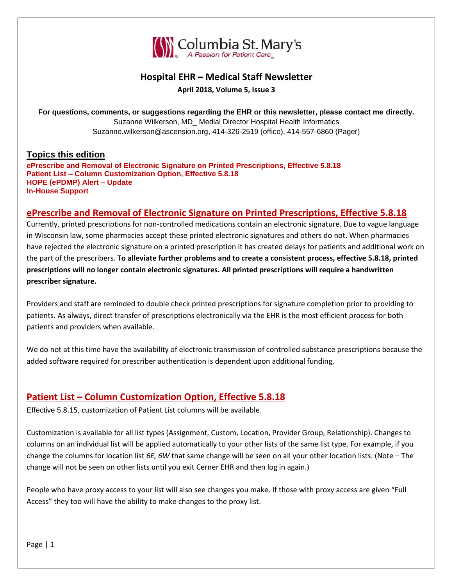

## **Hospital EHR – Medical Staff Newsletter**

**April 2018, Volume 5, Issue 3**

**For questions, comments, or suggestions regarding the EHR or this newsletter, please contact me directly.** Suzanne Wilkerson, MD\_ Medial Director Hospital Health Informatics Suzanne.wilkerson@ascension.org, 414-326-2519 (office), 414-557-6860 (Pager)

### **Topics this edition**

**ePrescribe and Removal of Electronic Signature on Printed Prescriptions, Effective 5.8.18 Patient List – Column Customization Option, Effective 5.8.18 HOPE (ePDMP) Alert – Update In-House Support** 

## **ePrescribe and Removal of Electronic Signature on Printed Prescriptions, Effective 5.8.18**

Currently, printed prescriptions for non-controlled medications contain an electronic signature. Due to vague language in Wisconsin law, some pharmacies accept these printed electronic signatures and others do not. When pharmacies have rejected the electronic signature on a printed prescription it has created delays for patients and additional work on the part of the prescribers. **To alleviate further problems and to create a consistent process, effective 5.8.18, printed prescriptions will no longer contain electronic signatures. All printed prescriptions will require a handwritten prescriber signature.**

Providers and staff are reminded to double check printed prescriptions for signature completion prior to providing to patients. As always, direct transfer of prescriptions electronically via the EHR is the most efficient process for both patients and providers when available.

We do not at this time have the availability of electronic transmission of controlled substance prescriptions because the added software required for prescriber authentication is dependent upon additional funding.

# **Patient List – Column Customization Option, Effective 5.8.18**

Effective 5.8.15, customization of Patient List columns will be available.

Customization is available for all list types (Assignment, Custom, Location, Provider Group, Relationship). Changes to columns on an individual list will be applied automatically to your other lists of the same list type. For example, if you change the columns for location list *6E, 6W* that same change will be seen on all your other location lists. (Note – The change will not be seen on other lists until you exit Cerner EHR and then log in again.)

People who have proxy access to your list will also see changes you make. If those with proxy access are given "Full Access" they too will have the ability to make changes to the proxy list.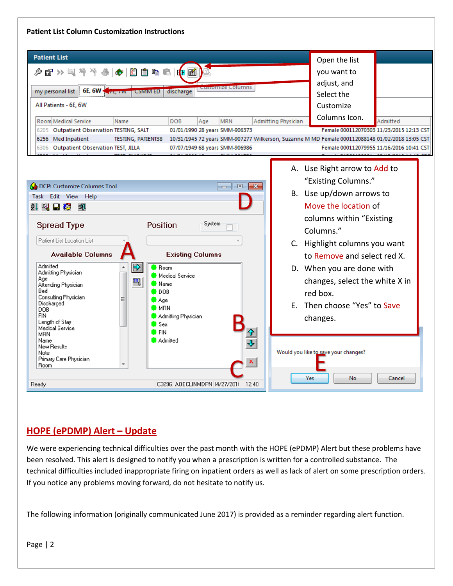#### **Patient List Column Customization Instructions**



# **HOPE (ePDMP) Alert – Update**

We were experiencing technical difficulties over the past month with the HOPE (ePDMP) Alert but these problems have been resolved. This alert is designed to notify you when a prescription is written for a controlled substance. The technical difficulties included inappropriate firing on inpatient orders as well as lack of alert on some prescription orders. If you notice any problems moving forward, do not hesitate to notify us.

The following information (originally communicated June 2017) is provided as a reminder regarding alert function.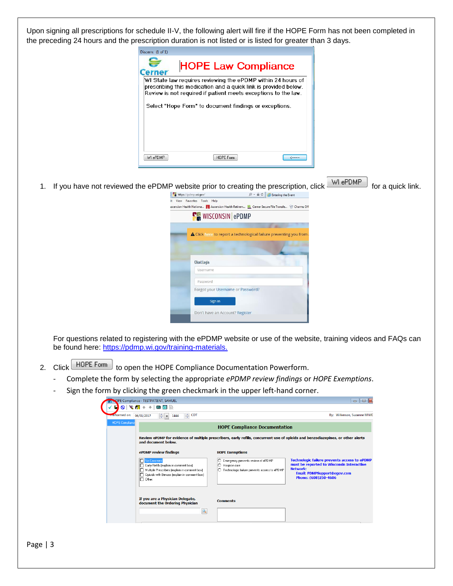Upon signing all prescriptions for schedule II-V, the following alert will fire if the HOPE Form has not been completed in the preceding 24 hours and the prescription duration is not listed or is listed for greater than 3 days.



1. If you have not reviewed the ePDMP website prior to creating the prescription, click WI ePDMP for a quick link.



For questions related to registering with the ePDMP website or use of the website, training videos and FAQs can be found here: [https://pdmp.wi.gov/training-materials.](https://pdmp.wi.gov/training-materials)

- 2. Click **HOPE Form** to open the HOPE Compliance Documentation Powerform.
	- Complete the form by selecting the appropriate *ePDMP review findings* or *HOPE Exemptions*.
	- Sign the form by clicking the green checkmark in the upper left-hand corner.

| efformed on: 06/01/2017 | <del>्</del> CDT<br>$\Rightarrow$ $\bullet$<br>1444                                                                                                                                      |                                                                                                         | By: Wilkerson, Suzanne M MD                                                                                                                                                |  |  |  |
|-------------------------|------------------------------------------------------------------------------------------------------------------------------------------------------------------------------------------|---------------------------------------------------------------------------------------------------------|----------------------------------------------------------------------------------------------------------------------------------------------------------------------------|--|--|--|
| <b>HOPE Compliance</b>  | <b>HOPE Compliance Documentation</b>                                                                                                                                                     |                                                                                                         |                                                                                                                                                                            |  |  |  |
|                         | Review ePDMP for evidence of multiple prescribers, early refills, concurrent use of opioids and benzodiazepines, or other alerts<br>and document below.                                  |                                                                                                         |                                                                                                                                                                            |  |  |  |
|                         | ePDMP review findings                                                                                                                                                                    | <b>HOPE Exemptions</b>                                                                                  |                                                                                                                                                                            |  |  |  |
|                         | <b>No Concerns</b><br>Early Refills (explain in comment box)<br>Multiple Prescribers (explain in comment box)<br>□ Opioids with Benzos (explain in comment box)<br>I <sup>n</sup> Other: | Emergency prevents review of ePDMP<br>റ<br>Hospice care<br>Technologic failure prevents access to ePDMP | Technologic failure prevents access to ePDMP<br>must be reported to Wisconsin Interactive<br><b>Network:</b><br><b>Email: PDMPSupport@egov.com</b><br>Phone: (608)250-4606 |  |  |  |
|                         | If you are a Physician Delegate,<br>document the Ordering Physician<br>Q                                                                                                                 | <b>Comments</b>                                                                                         |                                                                                                                                                                            |  |  |  |